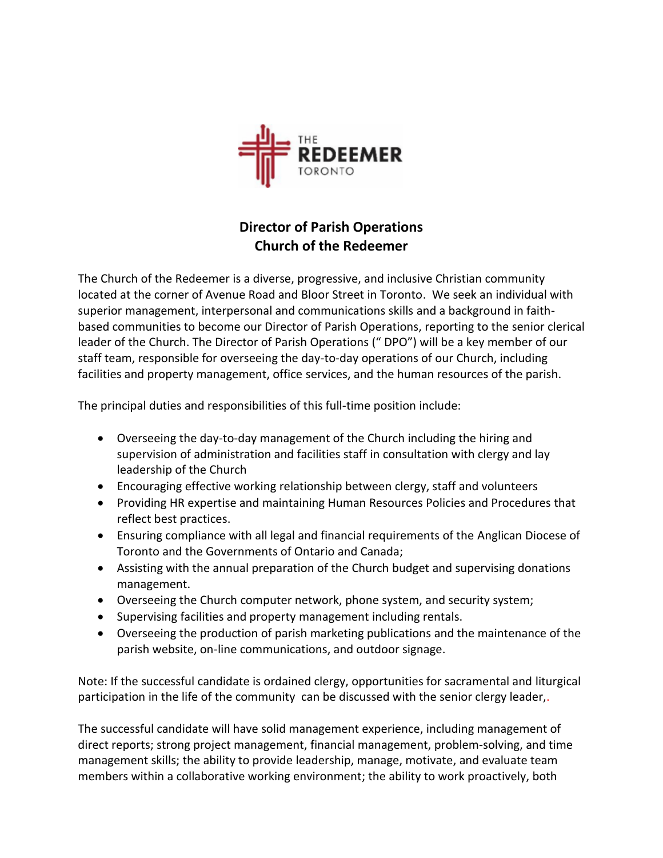

## **Director of Parish Operations Church of the Redeemer**

The Church of the Redeemer is a diverse, progressive, and inclusive Christian community located at the corner of Avenue Road and Bloor Street in Toronto. We seek an individual with superior management, interpersonal and communications skills and a background in faithbased communities to become our Director of Parish Operations, reporting to the senior clerical leader of the Church. The Director of Parish Operations (" DPO") will be a key member of our staff team, responsible for overseeing the day-to-day operations of our Church, including facilities and property management, office services, and the human resources of the parish.

The principal duties and responsibilities of this full-time position include:

- Overseeing the day-to-day management of the Church including the hiring and supervision of administration and facilities staff in consultation with clergy and lay leadership of the Church
- Encouraging effective working relationship between clergy, staff and volunteers
- Providing HR expertise and maintaining Human Resources Policies and Procedures that reflect best practices.
- Ensuring compliance with all legal and financial requirements of the Anglican Diocese of Toronto and the Governments of Ontario and Canada;
- Assisting with the annual preparation of the Church budget and supervising donations management.
- Overseeing the Church computer network, phone system, and security system;
- Supervising facilities and property management including rentals.
- Overseeing the production of parish marketing publications and the maintenance of the parish website, on-line communications, and outdoor signage.

Note: If the successful candidate is ordained clergy, opportunities for sacramental and liturgical participation in the life of the community can be discussed with the senior clergy leader,.

The successful candidate will have solid management experience, including management of direct reports; strong project management, financial management, problem-solving, and time management skills; the ability to provide leadership, manage, motivate, and evaluate team members within a collaborative working environment; the ability to work proactively, both